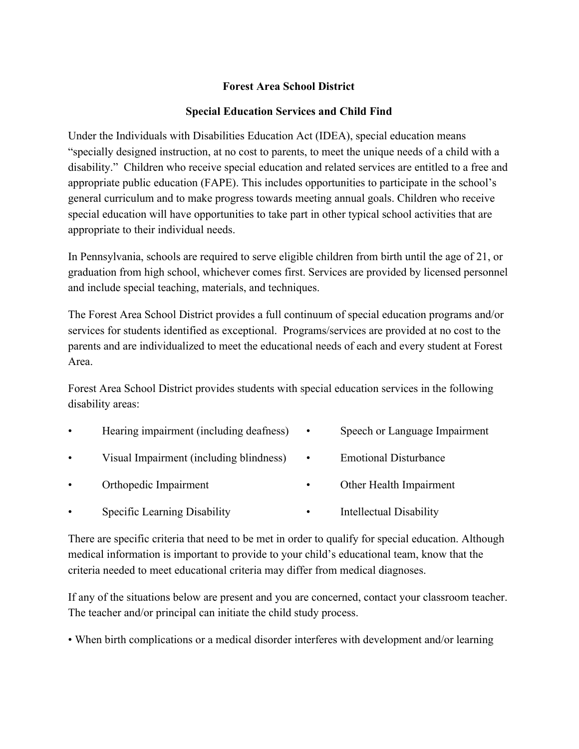## **Forest Area School District**

## **Special Education Services and Child Find**

Under the Individuals with Disabilities Education Act (IDEA), special education means "specially designed instruction, at no cost to parents, to meet the unique needs of a child with a disability." Children who receive special education and related services are entitled to a free and appropriate public education (FAPE). This includes opportunities to participate in the school's general curriculum and to make progress towards meeting annual goals. Children who receive special education will have opportunities to take part in other typical school activities that are appropriate to their individual needs.

In Pennsylvania, schools are required to serve eligible children from birth until the age of 21, or graduation from high school, whichever comes first. Services are provided by licensed personnel and include special teaching, materials, and techniques.

The Forest Area School District provides a full continuum of special education programs and/or services for students identified as exceptional. Programs/services are provided at no cost to the parents and are individualized to meet the educational needs of each and every student at Forest Area.

Forest Area School District provides students with special education services in the following disability areas:

- Hearing impairment (including deafness) Speech or Language Impairment
- Visual Impairment (including blindness) Emotional Disturbance
	-
- Orthopedic Impairment Other Health Impairment
- Specific Learning Disability Intellectual Disability

There are specific criteria that need to be met in order to qualify for special education. Although medical information is important to provide to your child's educational team, know that the criteria needed to meet educational criteria may differ from medical diagnoses.

If any of the situations below are present and you are concerned, contact your classroom teacher. The teacher and/or principal can initiate the child study process.

• When birth complications or a medical disorder interferes with development and/or learning